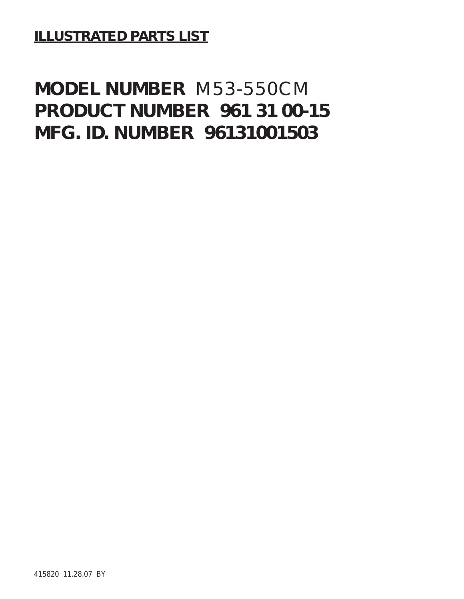**ILLUSTRATED PARTS LIST**

## **MODEL NUMBER** M53-550CM **PRODUCT NUMBER 961 31 00-15 MFG. ID. NUMBER 96131001503**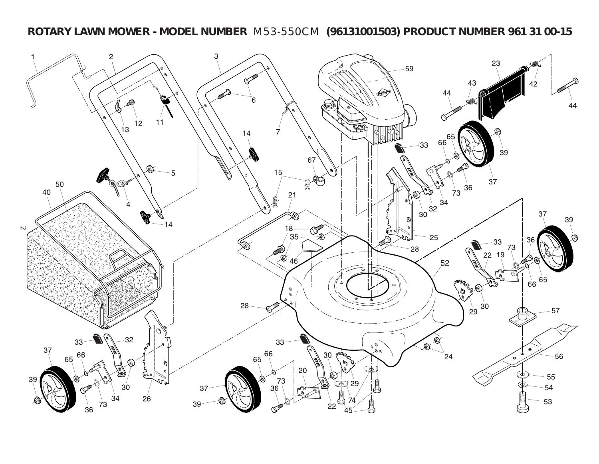**ROTARY LAWN MOWER - MODEL NUMBER** M53-550CM **(96131001503) PRODUCT NUMBER 961 31 00-15**